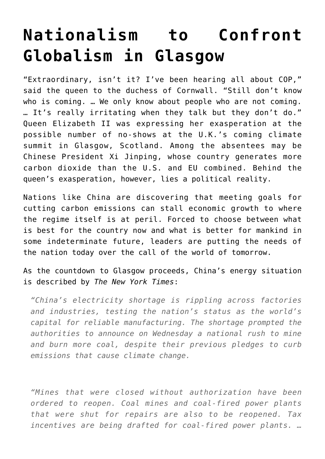## **[Nationalism to Confront](https://intellectualtakeout.org/2021/10/nationalism-to-confront-globalism-in-glasgow/) [Globalism in Glasgow](https://intellectualtakeout.org/2021/10/nationalism-to-confront-globalism-in-glasgow/)**

"Extraordinary, isn't it? I've been hearing all about COP," said the queen to the duchess of Cornwall. "Still don't know who is coming. … We only know about people who are not coming. … It's really irritating when they talk but they don't do." Queen Elizabeth II was expressing her exasperation at the possible number of no-shows at the U.K.'s coming climate summit in Glasgow, Scotland. Among the absentees may be Chinese President Xi Jinping, whose country generates more carbon dioxide than the U.S. and EU combined. Behind the queen's exasperation, however, lies a political reality.

Nations like China are discovering that meeting goals for cutting carbon emissions can stall economic growth to where the regime itself is at peril. Forced to choose between what is best for the country now and what is better for mankind in some indeterminate future, leaders are putting the needs of the nation today over the call of the world of tomorrow.

As the countdown to Glasgow proceeds, China's energy situation is described by *The New York Times*:

*"China's electricity shortage is rippling across factories and industries, testing the nation's status as the world's capital for reliable manufacturing. The shortage prompted the authorities to announce on Wednesday a national rush to mine and burn more coal, despite their previous pledges to curb emissions that cause climate change.*

*"Mines that were closed without authorization have been ordered to reopen. Coal mines and coal-fired power plants that were shut for repairs are also to be reopened. Tax incentives are being drafted for coal-fired power plants. …*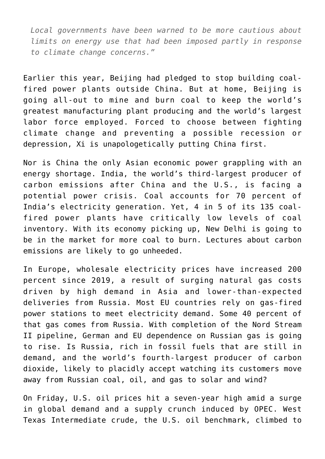*Local governments have been warned to be more cautious about limits on energy use that had been imposed partly in response to climate change concerns."*

Earlier this year, Beijing had pledged to stop building coalfired power plants outside China. But at home, Beijing is going all-out to mine and burn coal to keep the world's greatest manufacturing plant producing and the world's largest labor force employed. Forced to choose between fighting climate change and preventing a possible recession or depression, Xi is unapologetically putting China first.

Nor is China the only Asian economic power grappling with an energy shortage. India, the world's third-largest producer of carbon emissions after China and the U.S., is facing a potential power crisis. Coal accounts for 70 percent of India's electricity generation. Yet, 4 in 5 of its 135 coalfired power plants have critically low levels of coal inventory. With its economy picking up, New Delhi is going to be in the market for more coal to burn. Lectures about carbon emissions are likely to go unheeded.

In Europe, wholesale electricity prices have increased 200 percent since 2019, a result of surging natural gas costs driven by high demand in Asia and lower-than-expected deliveries from Russia. Most EU countries rely on gas-fired power stations to meet electricity demand. Some 40 percent of that gas comes from Russia. With completion of the Nord Stream II pipeline, German and EU dependence on Russian gas is going to rise. Is Russia, rich in fossil fuels that are still in demand, and the world's fourth-largest producer of carbon dioxide, likely to placidly accept watching its customers move away from Russian coal, oil, and gas to solar and wind?

On Friday, U.S. oil prices hit a seven-year high amid a surge in global demand and a supply crunch induced by OPEC. West Texas Intermediate crude, the U.S. oil benchmark, climbed to